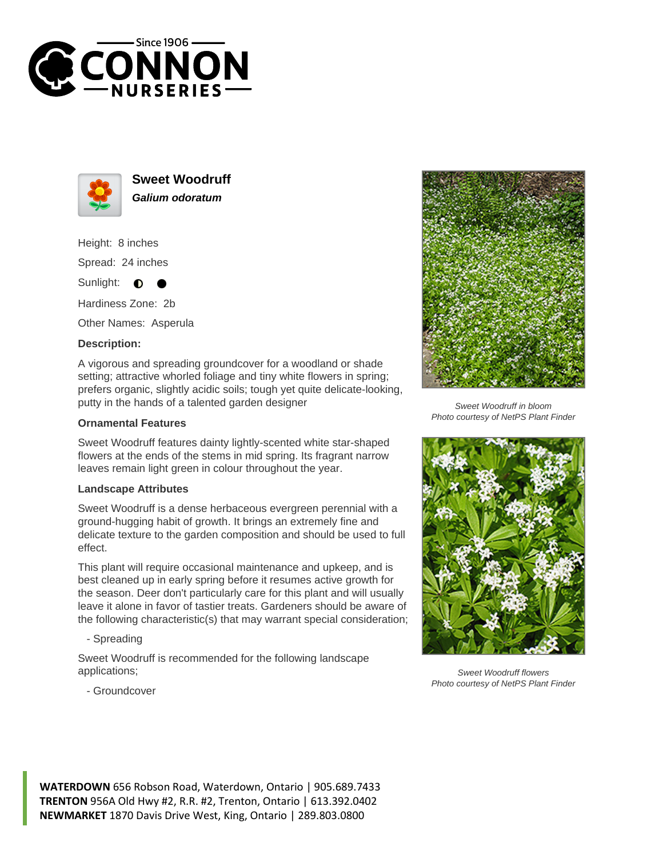



**Sweet Woodruff Galium odoratum**

Height: 8 inches

Spread: 24 inches

Sunlight:  $\bullet$ 

Hardiness Zone: 2b

Other Names: Asperula

## **Description:**

A vigorous and spreading groundcover for a woodland or shade setting; attractive whorled foliage and tiny white flowers in spring; prefers organic, slightly acidic soils; tough yet quite delicate-looking, putty in the hands of a talented garden designer

## **Ornamental Features**

Sweet Woodruff features dainty lightly-scented white star-shaped flowers at the ends of the stems in mid spring. Its fragrant narrow leaves remain light green in colour throughout the year.

## **Landscape Attributes**

Sweet Woodruff is a dense herbaceous evergreen perennial with a ground-hugging habit of growth. It brings an extremely fine and delicate texture to the garden composition and should be used to full effect.

This plant will require occasional maintenance and upkeep, and is best cleaned up in early spring before it resumes active growth for the season. Deer don't particularly care for this plant and will usually leave it alone in favor of tastier treats. Gardeners should be aware of the following characteristic(s) that may warrant special consideration;

- Spreading

Sweet Woodruff is recommended for the following landscape applications;



Sweet Woodruff in bloom Photo courtesy of NetPS Plant Finder



Sweet Woodruff flowers Photo courtesy of NetPS Plant Finder

- Groundcover

**WATERDOWN** 656 Robson Road, Waterdown, Ontario | 905.689.7433 **TRENTON** 956A Old Hwy #2, R.R. #2, Trenton, Ontario | 613.392.0402 **NEWMARKET** 1870 Davis Drive West, King, Ontario | 289.803.0800